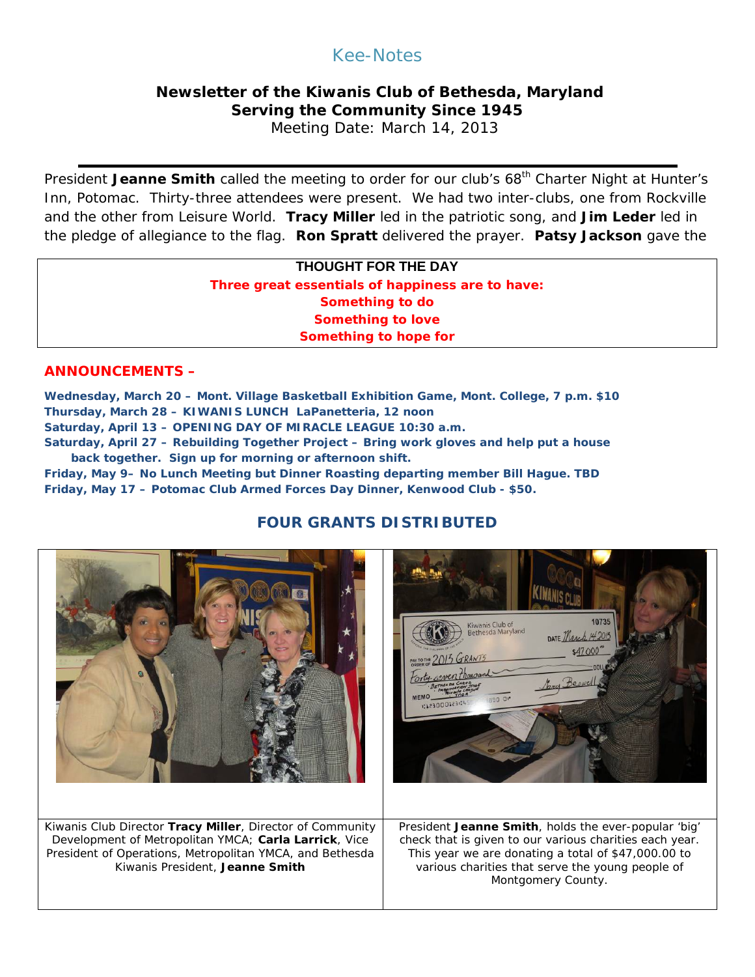# Kee-Notes

## **Newsletter of the Kiwanis Club of Bethesda, Maryland Serving the Community Since 1945**

Meeting Date: March 14, 2013

President Jeanne Smith called the meeting to order for our club's 68<sup>th</sup> Charter Night at Hunter's Inn, Potomac. Thirty-three attendees were present. We had two inter-clubs, one from Rockville and the other from Leisure World. **Tracy Miller** led in the patriotic song, and **Jim Leder** led in the pledge of allegiance to the flag. **Ron Spratt** delivered the prayer. **Patsy Jackson** gave the

### **THOUGHT FOR THE DAY Three great essentials of happiness are to have: Something to do Something to love Something to hope for**

#### **ANNOUNCEMENTS –**

**Wednesday, March 20 – Mont. Village Basketball Exhibition Game, Mont. College, 7 p.m. \$10 Thursday, March 28 – KIWANIS LUNCH LaPanetteria, 12 noon Saturday, April 13 – OPENING DAY OF MIRACLE LEAGUE 10:30 a.m.**

**Saturday, April 27 – Rebuilding Together Project – Bring work gloves and help put a house back together. Sign up for morning or afternoon shift.**

**Friday, May 9– No Lunch Meeting but Dinner Roasting departing member Bill Hague. TBD Friday, May 17 – Potomac Club Armed Forces Day Dinner, Kenwood Club - \$50.**

# **FOUR GRANTS DISTRIBUTED**

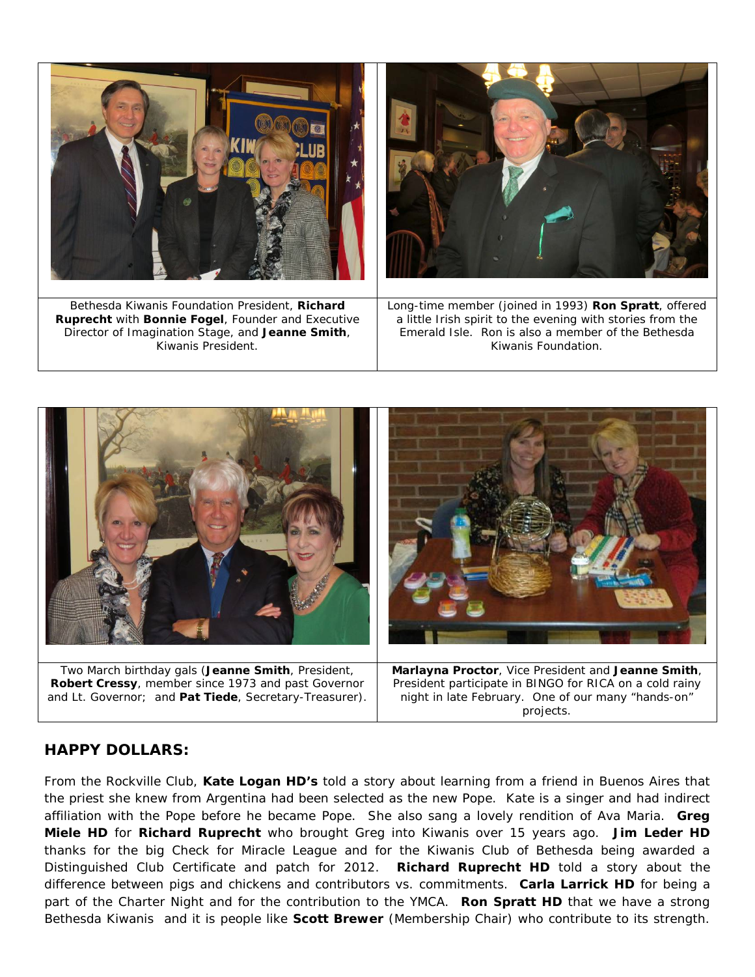



### **HAPPY DOLLARS:**

From the Rockville Club, **Kate Logan HD's** told a story about learning from a friend in Buenos Aires that the priest she knew from Argentina had been selected as the new Pope. Kate is a singer and had indirect affiliation with the Pope before he became Pope. She also sang a lovely rendition of Ava Maria. **Greg Miele HD** for **Richard Ruprecht** who brought Greg into Kiwanis over 15 years ago. **Jim Leder HD** thanks for the big Check for Miracle League and for the Kiwanis Club of Bethesda being awarded a Distinguished Club Certificate and patch for 2012. **Richard Ruprecht HD** told a story about the difference between pigs and chickens and contributors vs. commitments. **Carla Larrick HD** for being a part of the Charter Night and for the contribution to the YMCA. **Ron Spratt HD** that we have a strong Bethesda Kiwanis and it is people like **Scott Brewer** (Membership Chair) who contribute to its strength.